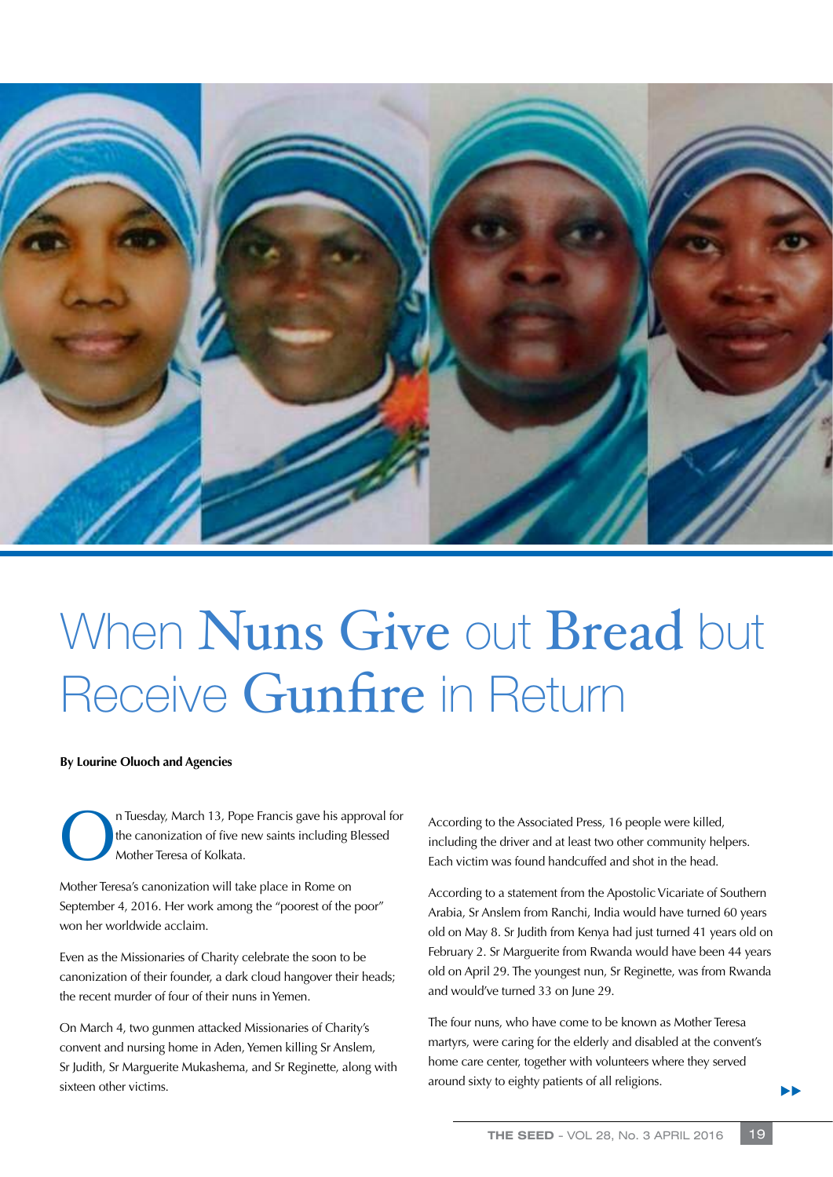

## When Nuns Give out Bread but Receive Gunfire in Return

## **By Lourine Oluoch and Agencies**

Tuesday, March 13, Pope Francis gave his approval for<br>the canonization of five new saints including Blessed<br>Mother Teresa of Kolkata. the canonization of five new saints including Blessed Mother Teresa of Kolkata.

Mother Teresa's canonization will take place in Rome on September 4, 2016. Her work among the "poorest of the poor" won her worldwide acclaim.

Even as the Missionaries of Charity celebrate the soon to be canonization of their founder, a dark cloud hangover their heads; the recent murder of four of their nuns in Yemen.

On March 4, two gunmen attacked Missionaries of Charity's convent and nursing home in Aden, Yemen killing Sr Anslem, Sr Judith, Sr Marguerite Mukashema, and Sr Reginette, along with sixteen other victims.

According to the Associated Press, 16 people were killed, including the driver and at least two other community helpers. Each victim was found handcuffed and shot in the head.

According to a statement from the Apostolic Vicariate of Southern Arabia, Sr Anslem from Ranchi, India would have turned 60 years old on May 8. Sr Judith from Kenya had just turned 41 years old on February 2. Sr Marguerite from Rwanda would have been 44 years old on April 29. The youngest nun, Sr Reginette, was from Rwanda and would've turned 33 on June 29.

The four nuns, who have come to be known as Mother Teresa martyrs, were caring for the elderly and disabled at the convent's home care center, together with volunteers where they served around sixty to eighty patients of all religions.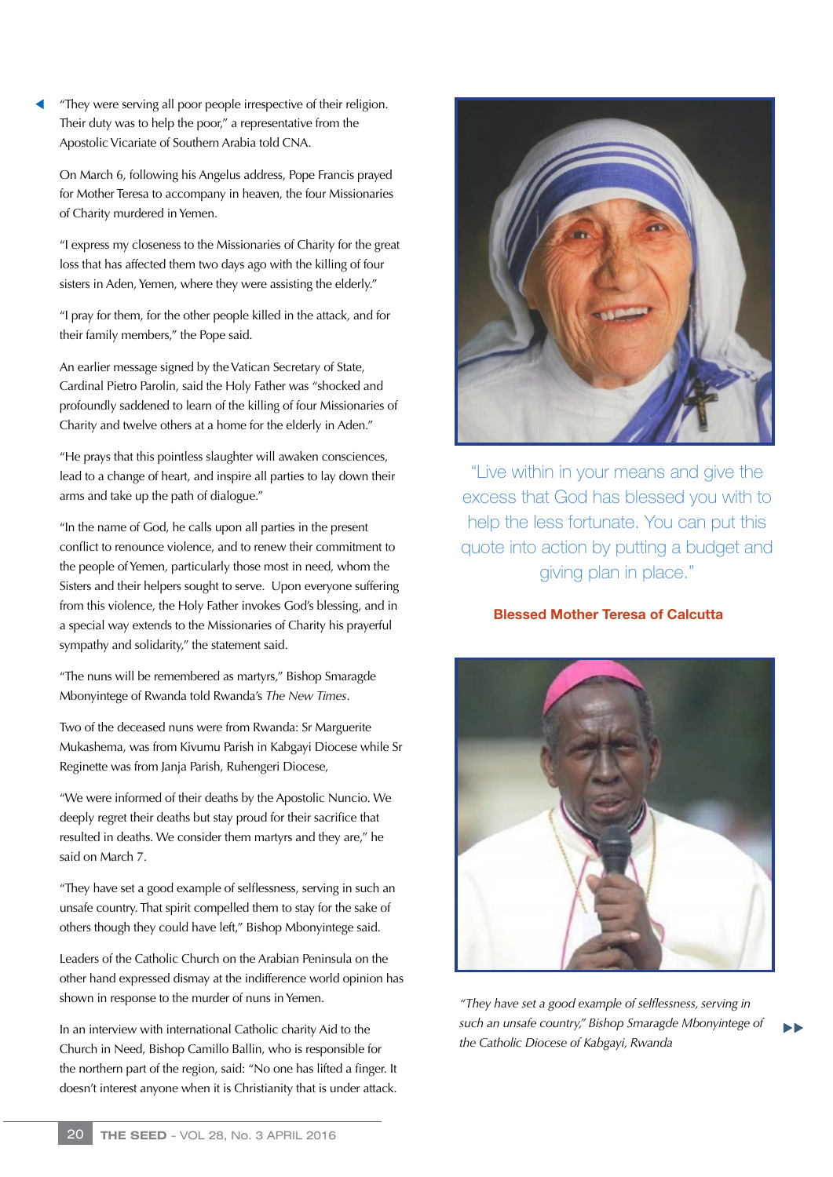"They were serving all poor people irrespective of their religion. Their duty was to help the poor," a representative from the Apostolic Vicariate of Southern Arabia told CNA.

On March 6, following his Angelus address, Pope Francis prayed for Mother Teresa to accompany in heaven, the four Missionaries of Charity murdered in Yemen.

"I express my closeness to the Missionaries of Charity for the great loss that has affected them two days ago with the killing of four sisters in Aden, Yemen, where they were assisting the elderly."

"I pray for them, for the other people killed in the attack, and for their family members," the Pope said.

An earlier message signed by the Vatican Secretary of State, Cardinal Pietro Parolin, said the Holy Father was "shocked and profoundly saddened to learn of the killing of four Missionaries of Charity and twelve others at a home for the elderly in Aden."

"He prays that this pointless slaughter will awaken consciences, lead to a change of heart, and inspire all parties to lay down their arms and take up the path of dialogue."

"In the name of God, he calls upon all parties in the present conflict to renounce violence, and to renew their commitment to the people of Yemen, particularly those most in need, whom the Sisters and their helpers sought to serve. Upon everyone suffering from this violence, the Holy Father invokes God's blessing, and in a special way extends to the Missionaries of Charity his prayerful sympathy and solidarity," the statement said.

"The nuns will be remembered as martyrs," Bishop Smaragde Mbonyintege of Rwanda told Rwanda's *The New Times*.

Two of the deceased nuns were from Rwanda: Sr Marguerite Mukashema, was from Kivumu Parish in Kabgayi Diocese while Sr Reginette was from Janja Parish, Ruhengeri Diocese,

"We were informed of their deaths by the Apostolic Nuncio. We deeply regret their deaths but stay proud for their sacrifice that resulted in deaths. We consider them martyrs and they are," he said on March 7.

"They have set a good example of selflessness, serving in such an unsafe country. That spirit compelled them to stay for the sake of others though they could have left," Bishop Mbonyintege said.

Leaders of the Catholic Church on the Arabian Peninsula on the other hand expressed dismay at the indifference world opinion has shown in response to the murder of nuns in Yemen.

In an interview with international Catholic charity Aid to the Church in Need, Bishop Camillo Ballin, who is responsible for the northern part of the region, said: "No one has lifted a finger. It doesn't interest anyone when it is Christianity that is under attack.



"Live within in your means and give the excess that God has blessed you with to help the less fortunate. You can put this quote into action by putting a budget and giving plan in place."

## Blessed Mother Teresa of Calcutta



*"They have set a good example of selflessness, serving in such an unsafe country," Bishop Smaragde Mbonyintege of the Catholic Diocese of Kabgayi, Rwanda*